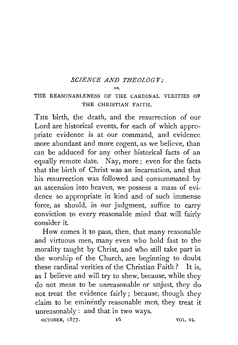## *SCIENCE AND THEOLOGY,·*

## OR,

## THE REASONABLENESS OF THE CARDINAL VERITIES OF THE CHRISTIAN FAITH.

THE birth, the death, and the resurrection of our Lord are historical events, for each of which appropriate evidence is at our command, and evidence more abundant and more cogent, as we believe, than can be adduced for any other historical facts of an equally remote date. Nay, more; even for the facts that the birth of Christ was an incarnation, and that his resurrection was followed and consummated by an ascension into heaven, we possess a mass of evidence so appropriate in kind and of such immense force, as should, in our judgment, suffice to carry conviction to every reasonable mind that will fairly consider it.

How comes it to pass, then, that many reasonable and virtuous men, many even who hold fast to the morality taught by Christ, and who still take part in the worship of the Church, are beginning to doubt these cardinal verities of the Christian Faith? It is, as I believe and will try to shew, because, while they do not mean to be unreasonable or unjust, they do not treat the evidence fairly; because, though they claim to be eminently reasonable men, they treat it unreasonably : and that in two ways.

OCTOBER,  $1877.$  16 VOL. VI.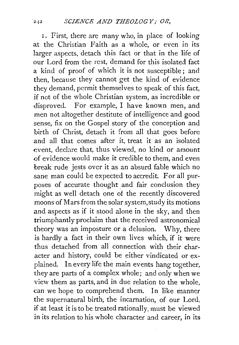I. First, there are many who, in place of looking at the Christian Faith as a whole, or even in its larger aspects, detach this fact or that in the life of our Lord from the rest, demand for this isolated fact a kind of proof of which it is not susceptible; and then, because they cannot get the kind of evidence they demand, permit themselves to speak of this fact, if not of the whole Christian system, as incredible or disproved. For example, I have known men, and men not altogether destitute of intelligence and good sense, fix on the Gospel story of the conception and birth of Christ, detach it from all that goes before and all that comes after it, treat it as an isolated event, declare that, thus viewed, no kind or amount of evidence would make it credible to them, and even break rude jests over it as an absurd fable which no sane man could be expected to accredit. For all purposes of accurate thought and fair conclusion they might as well detach one of the recently discovered moons of Mars from the solar system, study its motions and aspects as if it stood alone in the sky, and then triumphantly proclaim that the received astronomical theory was an imposture or a delusion. Why, there is hardly a fact in their own lives which, if it were thus detached from all connection with their character and history, could be either vindicated or explained. In every life the main events hang together, they are parts of a complex whole; and only when we view them as parts, and in due relation to the whole, can we hope to comprehend them. In like manner the supernatural birth; the incarnation, of our Lord, if at least it is to be treated rationally, must be viewed in its relation to his whole character and career, in its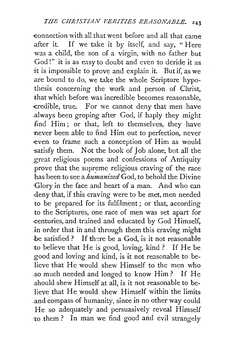connection with all that went before and all that came after it. If we take it by itself, and say, "Here was a child, the son of a virgin, with no father but God!" it is as easy to doubt and even to deride it as it is impossible to prove and explain it. But if, as we are bound to do, we take the whole Scripture hypothesis concerning the work and person of Christ, that which before was incredible becomes reasonable, •credible, true. For we cannot deny that men have .always been groping after God, if haply they might .find Him; or that, left to themselves, they have 'never been able to find Him out to perfection, never ·even to frame such a conception of Hin~ as would -satisfy them. Not the book of Job alone, but all the \_great religious poems and confessions of Antiquity prove that the supreme religious craving of the race has been to see a *humanized* God, to behold the Divine ·Glory in the face and heart of a man. And who can -deny that, if this craving were to be met, men needed to be prepared for its fulfilment ; or that, according to the Scriptures, one race of men was set apart for -centuries, and trained and educated by God Himself, .in order that in and through them this craving might  $\Phi$  be satisfied? If there be a God, is it not reasonable to believe that He is good, loving, kind? If He be good and loving and kind, is it not reasonable to . believe that He would shew Himself to the men who *:so* much needed and longed to know Him? If He :should shew Himself at all, is it not reasonable to believe that He would shew Himself within the limits .and compass of humanity, since in no other way could He so adequately and persuasively reveal Himself to them? In man we find good and evil strangely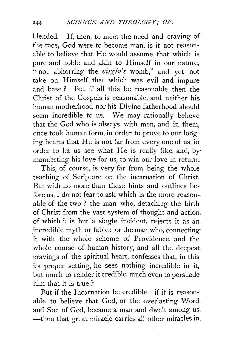blended. If, then, to meet the need and craving of the race, God were to become man, is it not reasonable to believe that He would assume that which is pure and noble and akin to Himself in our nature, " not abhorring the *virgin's* womb," and yet not take on Himself that which was evil and impure and base? But if all this be reasonable, then the Christ of the Gospels is reasonable, and neither his human motherhood nor his Divine fatherhood should seem incredible to us. We may rationally believe that the God who is always with men, and in them, once took human form, in order to prove to our longing hearts that He is not far from every one of us, in order to let us see what He is really like, and, by· manifesting his love for us, to win our love in return.

This, of course, is very far from being the whole teaching of Scripture on the incarnation of Christ. But with no more than these hints and outlines before us, I do not fear to ask which is the more reason- able of the two ? the man who, detaching the birth of Christ from the vast system of thought and action, of which it is but a single incident, rejects it as an incredible myth or fable: or the man who, connectingit with the whole scheme of Providence, and the whole course of human history, and all the deepest: cravings of the spiritual heart, confesses that, in this its proper setting, he sees nothing incredible in it, but much to render it credible, much even to persuadehim that it is true ?

But if the Incarnation be credible-if it is reasonable to believe that God, or the everlasting Word and Son of God, became a man and dwelt among us. -then that great miracle carries all other miracles in.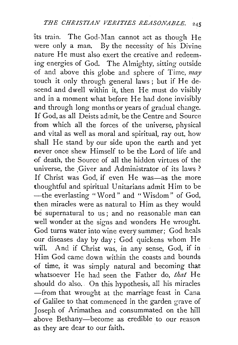its train. The God-Man cannot act as though He were only a man. By the necessity of his Divine nature He must also exert the creative and redeeming energies of God. The Almighty, sitting outside ·of and above this globe and sphere of Time, *may*  touch it only through general laws; but if He descend and dwell within it, then He must do visibly and in a moment what before He had done invisibly and through long months or years of gradual change. If God, as all Deists admit, be the Centre and Source from which all the forces of the universe, physical .and vital as well as moral and spiritual, ray out, how shall He stand by our side upon the earth and yet never once shew Himself to be the Lord of life and of death, the Source of all the hidden virtues of the universe, the Giver and Administrator of its laws ? If Christ was God, if even He was-as the more thoughtful and spiritual Unitarians admit Him to be ---the everlasting "Word" and "Wisdom" of God, then miracles were as natural to Him as they would be supernatural to us ; and no reasonable man can well wonder at the signs and wonders He wrought. God turns water into wine every summer; God heals our diseases day by day; God quickens whom He will. And if Christ was, in any sense, God, if in Him God came down within the coasts and bounds of time, it was simply natural and becoming that whatsoever He had seen the Father do, *that* He should do also. On this hypothesis, all his miracles -from that wrought at the marriage feast in Cana of Galilee to that commenced in the garden grave of Joseph of Arimathea and consummated on the hill above Bethany-become as credible to our reason as they are dear to our faith.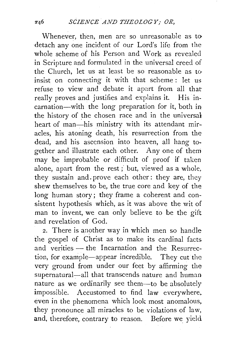Whenever, then, men are so unreasonable as to detach any one incident of our Lord's life from the whole scheme of his Person and Work as revealed in Scripture and formulated in the universal creed of the Church, let us at least be so reasonable as toinsist on connecting it with that scheme : let us refuse to view and debate it apart from all that really proves and justifies and explains it. His incarnation-with the long preparation for it, both in the history of the chosen race and in the universal heart of man-his ministry with its attendant miracles, his atoning death, his resurrection from thedead, and his ascension into heaven, all hang together and illustrate each other. Any one of them may be improbable or difficult of proof if taken alone, apart from the rest; but, viewed as a whole, they sustain and. prove each other: they are, they shew themselves to be, the true core and key of the long human story; they frame a coherent and consistent hypothesis which, as it was above the wit of man to invent, we can only believe to be the gift and revelation of God.

2. There is another way in which men so handle the gospel of Christ as to make its cardinal facts. and verities  $-$  the Incarnation and the Resurrection, for example-appear incredible. They cut the very ground from under our feet by affirming the supernatural---all that transcends nature and human. nature as we ordinarily see them-to be absolutely impossible. Accustomed to find law everywhere. even in the phenomena which look most anomalous, they pronounce all miracles to be violations of law, and, therefore, contrary to reason. Before we yield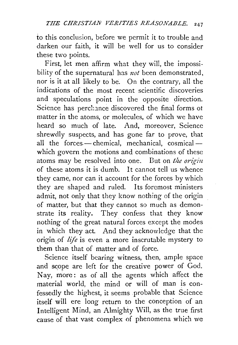to this conclusion, before we permit it to trouble and darken our faith, it will be well for us to consider these two points.

First, let men affirm what they will, the impossibility of the supernatural has  $not$  been demonstrated, nor is it at all likely to be. On the contrary, all the indications of the most recent scientific discoveries and speculations point in the opposite direction. Science has perchance discovered the final forms of matter in the atoms, or molecules, of which we have heard so much of late. And, moreover, Science shrewdly suspects, and has gone far to prove, that all the forces - chemical, mechanical, cosmical which govern the motions and combinations of these atoms may be resolved into one. Dut on *the origin*  of these atoms it is dumb. It cannot tell us whence they came, nor can it account for the forces by which they are shaped and ruled. Its foremost ministers admit, not only that they know nothing of the origin of matter, but that they cannot so much as demonstrate its reality. They confess that they know nothing of the great natural forces except the modes in which they act. And they acknowledge that the origin of *life* is even a more inscrutable mystery to them than that of matter and of force.

Science itself bearing witness, then, ample space and scope are left for the creative power of God. Nay, more : as of all the agents which affect the material world, the mind or will of man is confessedly the highest, it seems probable that Science itself will ere long return to the conception of an Intelligent Mind, an Almighty Will, as the true first cause of that vast complex of phenomena which we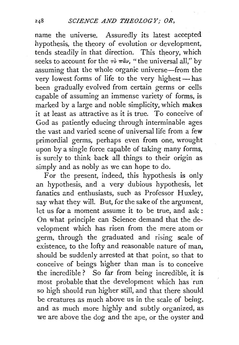name the universe. Assuredly its latest accepted hypothesis, the theory of evolution or development, tends steadily in that direction. This theory, which seeks to account for the  $\tau\delta \pi \hat{a} \nu$ , "the universal all," by assuming that the whole organic universe-from the very lowest forms of life to the very highest  $-$  has been gradually evolved from certain germs or cells capable of assuming an immense variety of forms, is marked by a large and noble simplicity, which makes it at least as attractive as it is true. To conceive of God as patiently educing through interminable ages the vast and varied scene of universal life from a few primordial germs, perhaps even from one, wrought upon by a single force capable of taking many forms, is surely to think back all things to their origin as simply and as nobly as we can hope to do.

For the present, indeed, this hypothesis is only an hypothesis, and a very dubious hypothesis, let fanatics and enthusiasts, such as Professor Huxley, say what they will. But, for the sake of the argument, let us for a moment assume it to be true, and ask : On what principle can Science demand that the development which has risen from the mere atom or germ, through the graduated and rising scale of existence, to the lofty and reasonable nature of man, should be suddenly arrested at that point, so that to conceive of beings higher than man is to conceive the incredible ? So far from being incredible, it is most probable that the development which has run so high should run higher still, and that there should be creatures as much above us in the scale of being. and as much more highly and subtly organized, as we are above the dog and the ape, or the oyster and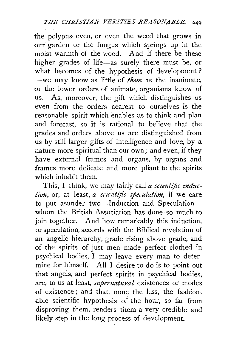the polypus even, or even the weed that grows in our garden or the fungus which springs up in the moist warmth of the wood. And if there be these higher grades of life-as surely there must be, or what becomes of the hypothesis of development? -we may know as little of *them* as the inanimate, or the lower orders of animate, organisms know of us. As, moreover, the gift which distinguishes us even from the orders nearest to ourselves is the reasonable spirit which enables us to think and plan and forecast, so it is rational to believe that the grades and orders above us are distinguished from us by still larger gifts of intelligence and love, by a nature more spiritual than our own; and even, if they have external frames and organs, by organs and frames more delicate and more pliant to the spirits which inhabit them.

This, I think, we may fairly call *a scientific induction*, or, at least, *a scientific speculation*, if we care to put asunder two-Induction and Speculationwhom the British Association has done so much to join together. And how remarkably this induction, or speculation, accords with the Biblical revelation of an angelic hierarchy, grade rising above grade, and of the spirits of just men made perfect clothed in psychical bodies, I may leave every man to determine for himself. All I desire to do is to point out that angels, and perfect spirits in psychical bodies, are, to us at least, *supenzatural* existences or modes of existence ; and that, none the less, the fashion, able scientific hypothesis of the hour, so far from disproving them, renders them a very credible and likely step in the long process of development.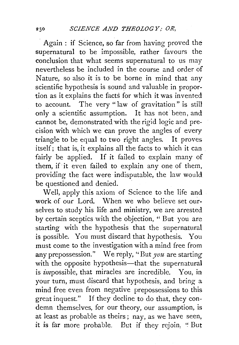Again : if Science, so far from having proved the supernatural to be impossible, rather favours the conclusion that what seems supernatural to us may nevertheless be included in the course and order of Nature, so also it is to be borne in mind that any scientific hypothesis is sound and valuable in proportion as it explains the facts for which it was invented to account. The very "law of gravitation" is still only a scientific assumption. It has not been, and cannot be, demonstrated with the rigid logic and precision with which we can prove the angles of every triangle to be equal to two right angles. It proves itself; that is, it explains all the facts to which it can fairly be applied. If it failed to explain many of them, if·it even failed to explain any one of them, providing the fact were indisputable, the law would be questioned and denied.

Well, apply this axiom of Science to the life and work of our Lord. When we who believe set ourselves to study his life and ministry, we are arrested by certain sceptics with the objection, " But you are starting with the hypothesis that the supernatural is possible. You must discard that hypothesis. You must come to the investigation with a mind free from any prepossession." We reply, ''But *you* are starting with the opposite hypothesis—that the supernatural is *impossible*, that miracles are incredible. You, in your turn, must discard that hypothesis, and bring a mind free even from negative prepossessions to this great inquest." If they decline to do that, they condemn themselves, for our theory, our assumption, is at least as probable as theirs; nay, as we have seen, it is far more probable. But if they rejoin, "But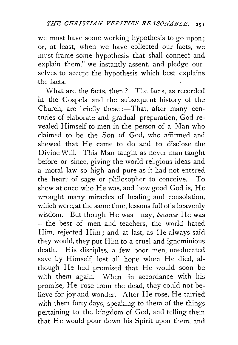we must have some working hypothesis to go upon; or, at least, when we have collected our facts, we must frame some hypothesis that shall connect and explain them," we instantly assent, and pledge ourselves to accept the hypothesis which best explains the facts.

What are the facts, then? The facts, as recorded in the Gospels and the subsequent history of the Church, are briefly these: $-T$ hat, after many centuries of elaborate and gradual preparation, God revealed Himself to men in the person of a Man who claimed to be the Son of God, who affirmed and she wed that He came to do and to disclose the Divine Will. This Man taught as never man taught before or since, giving the world religious ideas and a moral law so high and pure as it had not entered the heart of sage or philosopher to conceive. To shew at once who He was, and how good God is, He wrought many miracles of healing and consolation, which were, at the same time, lessons full of a heavenly wisdom. But though He was-nay, *because* He was -the best of men and teachers, the world hated Him, rejected Him; and at last, as He always said they would, they put Him to a cruel and ignominious death. His disciples, a few poor men, uneducated save by Himself, lost all hope when He died, although He had promised that He would soon be with them again. When, in accordance with his promise, He rose from the dead, they could not believe for joy and wonder. After He rose, He tarried with them forty days, speaking to them of the things pertaining to the kingdom of God, and telling them that He would pour down his Spirit upon them, and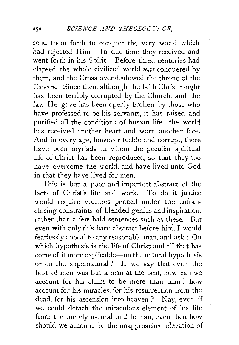send them forth to conquer the very world which had rejected Him. In due time they received and went forth in his Spirit. Before three centuries had elapsed the whole civilized world *was* conquered by them, and the Cross overshadowed the throne of the Cæsars. Since then, although the faith Christ taught has been terribly corrupted by the Church, and the law He gave has been openly broken by those who have professed to be his servants, it has raised and purified all the conditions of human life ; the world has received another heart and worn another face. And in every age, however feeble and corrupt, there have been myriads in whom the peculiar spiritual life of Christ has been reproduced, so that they too have overcome the world, and have lived unto God in that they have lived for men.

This is but a poor and imperfect abstract of the facts of Christ's life and work. To do it justice would require volumes penned under the enfranchising constraints of blended genius and inspiration, rather than a few bald sentences such as these. But even with only this bare abstract before him, I would fearlessly appeal to any reasonable man, and ask: On which hypothesis is the life of Christ and all that has come of it more explicable-on the natural hypothesis or on the supernatural ? If we say that even the best of men was but a man at the best, how can we account for his daim to be more than man ? how account for his miracles, for his resurrection from the dead, for his ascension into heaven? Nay, even if we could detach the miraculous element of his life from the merely natural and human, even then how should we account for the unapproached elevation of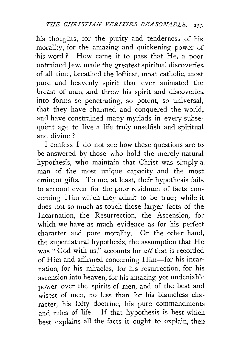his thoughts, for the purity and tenderness of his morality, for the amazing and quickening power of his word? How came it to pass that He, a poor untrained Jew, made the greatest spiritual discoveries. of all time, breathed the loftiest, most catholic, most pure and heavenly spirit that ever animated the breast of man, and threw his spirit and discoveries. into forms so penetrating, so potent, so universal, that they have charmed and conquered the world. and have constrained many myriads in every subsequent age to live a life truly unselfish and spiritual and divine?

I confess I do not see how these questions are to be answered by those who hold the merely natural hypothesis, who maintain that Christ was simply a man of the most unique capacity and the most. eminent gifts. To me, at least, their hypothesis fails. to account even for the poor residuum of facts concerning Him which they admit to be true; while it does not so much as touch those larger facts of the Incarnation, the Resurrection, the Ascension, for which we have as much evidence as for his perfect character and pure morality. On the other hand, the supernatural hypothesis, the assumption that He was " God with us," accounts for *all* that is recorded of Him and affirmed concerning Him-for his incarnation, for his miracles, for his resurrection, for his ascension into heaven, for his amazing yet undeniable power over the spirits of men, and of the best and wiscst of men, no less than for his blameless character, his lofty doctrine, his pure commandments. and rules of life. If that hypothesis is best which best explains all the facts it ought to explain, then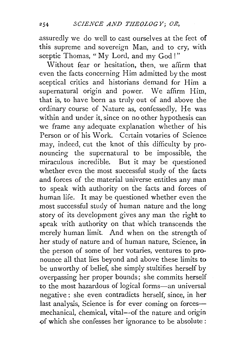.assuredly we do well to cast ourselves at the feet of this supreme and sovereign Man, and to cry, with sceptic Thomas, "My Lord, and my God!"

Without fear or hesitation, then, we affirm that even the facts concerning Him admitted by the most sceptical critics and historians demand for Him a supernatural origin and power. We affirm Him, that is, to have been as truly out of and above the ordinary course of Nature as, confessedly, He was within and under it, since on no other hypothesis can we frame any adequate explanation whether of his Person or of his Work. Certain votaries of Science may, indeed, cut the knot of this difficulty by pronouncing the supernatural to be impossible, the miraculous incredible. But it may be questioned whether even the most successful study of the facts and forces of the material universe entitles any man to speak with authority on the facts and forces of human life. It may be questioned whether even the most successful study of human nature and the long story of its development gives any man the right to speak with authority on that which transcends the merely human limit. And when on the strength of her study of nature and of human nature, Science, in the person of some of her votaries, ventures to pronounce all that lies beyond and above these limits to be unworthy of belief, she simply stultifies herself by overpassing her proper bounds; she commits herself to the most hazardous of logical forms-an universal negative : she even contradicts herself, since, in her last analysis, Science is for ever coming on forcesmechanical, chemical, vital-of the nature and origin of which she confesses her ignorance to be absolute: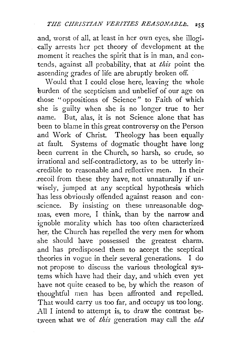.and, worst of all, at least in her own eyes, she illogi cally arrests her pet theory of development at the moment it reaches the spirit that is in man, and contends, against all probability, that at *this* point the .ascending grades of life are abruptly broken off.

Would that I could close here, leaving the whole burden of the scepticism and unbelief of our age on •those "oppositions of Science" to Faith of which she is guilty when she is no longer true to her name. But, alas, it is not Science alone that has been to blame in this great controversy on the Person and Work of Christ. Theology has been equally at fault. Systems of dogmatic thought have long .been current in the Church, so harsh, so crude, so irrational and self-contradictory, as to be utterly in- •Credible to reasonable and reflective men. In their ,recoil from these they have, not unnaturally if un- -wisely, jumped at any sceptical hypothesis which has less obviously offended against reason and conscience. By insisting on these unreasonable dogmas, even more, I think, than by the narrow and ignoble morality which has too often characterized ber, the Church has repelled the very men for whom she should have possessed the greatest charm. and has predisposed them to accept the sceptical theories in vogue in their several generations. I do not propose to discuss the various theological systems which have had their day, and which even yet have not quite ceased to be, by which the reason of thoughtful men has been affronted and repelled. That would carry us too far, and occupy us too long. All I intend to attempt is, to draw the contrast between what we of *this* generation may call the *old*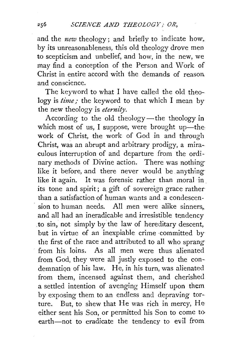and the *new* theology; and briefly to indicate how, by its unreasonableness, this old theology drove men to scepticism and unbelief, and how, in the new, we may find a conception of the Person and Work of Christ in entire accord with the demands of reason and conscience.

The keyword to what I have called the old theology is *time*; the keyword to that which I mean by the new theology is *eternity.* 

According to the old theology-the theology in which most of us, I suppose, were brought up-thework of Christ, the work of God in and through Christ, was an abrupt and arbitrary prodigy, a miraculous interruption of and departure from the ordinary methods of Divine action. There was nothing like it before, and there never would be anything like it again. It was forensic rather than moral in its tone and spirit; a gift of sovereign grace rather than a satisfaction of human wants and a condescen sion to human needs. All men were alike sinners, and all had an ineradicable and irresistible tendency .to sin, not simply by the law of hereditary descent, but in virtue of an inexpiable crime committed by the first of the race and attributed to all who sprang from his loins. As all men were thus alienated from God, they were all justly exposed to the condemnation of his law. He, in his turn, was alienated from them, incensed against them, and cherished a settled intention of avenging Himself upon them by exposing them to an endless and depraving torture. But, to shew that He was rich in mercy, He either sent his Son, or permitted his Son to come to earth-not to eradicate the tendency to evil from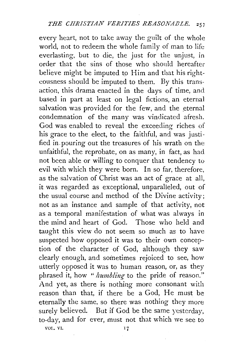every heart, not to take away the guilt of the whole world, not to redeem the whole family of man to life everlasting, but to die, the just for the unjust, in order that the sins of those who should hereafter believe might be imputed to Him and that his righteousness should be imputed to them. By this transaction, this drama enacted in the days of time, and based in part at least on legal fictions, an eternal salvation was provided for the few, and the eternal condemnation of the many was vindicated afresh. God was enabled to reveal the exceeding riches of his grace to the elect, to the faithful, and was justified in. pouring out the treasures of his wrath on the unfaithful, the reprobate, on as many, in fact, as had not been able or willing to conquer that tendency to evil with which they were born. In so far, therefore, as the salvation of Christ was an act of grace at all, it was regarded as exceptional, unparalleled, out of the usual course and method of the Divine activity; not as an instance and sample of that activity, not as a temporal manifestation of what was always in the mind and heart of God. Those who held and taught this view do not seem so much as to have suspected how opposed it was to their own conception of the character of God, although they saw clearly enough, and sometimes rejoiced to see, how utterly opposed it was to human reason, or, as they phrased it, how *"humbling* to the pride of reason." And yet, as there is nothing more consonant with reason than that, if there be a God, He must be eternally the same, so there was nothing they more surely believed. But if God be the same yesterday, to-day, and for ever, must not that which we see to

VOL. VI. 17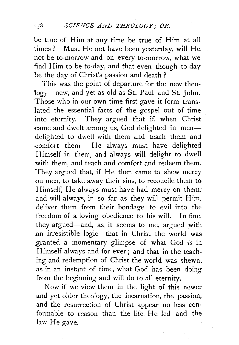be true of Him at any time be true of Him at all times? Must He not have been yesterday, will He not be to-morrow and on every to-morrow, what we find Him to be to-day, and that even though to-day be the day of Christ's passion and death ?

This was the point of departure for the new theology-new, and yet as old as St. Paul and St. John. Those who in our own time first gave it form translated the essential facts of the gospel out of time into eternity. They argued that if, when Christ came and dwelt among us, God delighted in mendelighted to dwell with them and teach them and ·comfort them- He always must have delighted Himself in them, and always will delight to dwell with them, and teach and comfort and redeem them. They argued that, if He then came to shew mercy -on men, to take away their sins, to reconcile them to Himself, He always must have had mercy on them, .and will always, in so far as they will permit Him, deliver them from their bondage to evil into the freedom of a loving obedience to his will. In fine, they argued-and, as, it seems to me, argued with an irresistible logic-that in Christ the world was granted a momentary glimpse of what God *£s* in Himself always and for ever; and that in the teaching and redemption of Christ the world was shewn, .as in an instant of time, what God has been doing from the beginning and will do to all eternity.

Now if we view them in the light of this newer and yet older theology, the incarnation, the passion, and the resurrection of Christ appear no less conformable to reason than the life. He led and the law He gave.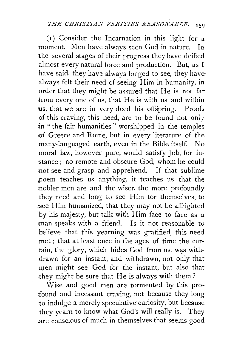( r) Consider the Incarnation in this light for a moment. Men have always seen God in nature. In the several stages of their progress they have deified -almost every natural force and production. But, as I have said, they have always longed to see, they have .always felt their need of seeing Him in humanity, in ·order that they might be assured that He is not far from every one of us, that He is with us and within us, that we are in very deed his offspring. Proofs -of this craving, this need, are to be found not oni $\epsilon$ in "the fair humanities" worshipped in the temples -of Greece and Rome, but in every literature of the many-languaged earth, even in the Bible itself. No moral law, however pure, would satisfy Job, for instance : no remote and obscure God, whom he could not see and grasp and apprehend. If that sublime ,poem teaches us anything, it teaches us that the nobler men are and the wiser, the more profoundly they need and long to see Him for themselves, to .:see Him humanized, that they may not be affrighted. 'by his majesty, but talk with Him face to face as a man speaks with a friend. Is it not reasonable to believe that this yearning was gratified, this need met; that at least once in the ages of time the curtain, the glory, which hides God from us, was withdrawn for an instant, and withdrawn, not only that men might see God for the instant, but also that they might be sure that He is always with them ?

Wise and good men are tormented by this profound and incessant craving, not because they long to indulge a merely speculative curiosity, but because they yearn to know what God's will really is. They .arc conscious of much in themselves that seems good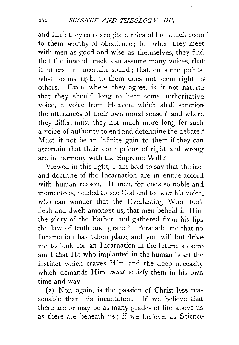and fair; they can excogitate rules of life which seem to them worthy of obedience; but when they meet with men as good and wise as themselves, they find that the inward oracle can assume many voices, that it utters an uncertain sound; that, on some points, what seems right to them does not seem right to others. Even where they agree, is it not natural that they should long to hear some authoritative voice, a voice. from Heaven, which shall sanction the utterances of their own moral sense ? and where they differ, must they not much more long for such a voice of authority to end and determine the debate *t*  Must it not be an infinite gain to them if they can ascertain that their conceptions of right and wrong are in harmony with the Supreme Will ?

Viewed in this light, I am bold to say that the fact and doctrine of the Incarnation are in entire accord with human reason. If men, for ends so noble and momentous, needed to see God and to hear his voice. who can wonder that the Everlasting Word took flesh and dwelt amongst us, that men beheld in Him the glory of the Father, and gathered from his lips. the law of truth and grace ? Persuade me that no· Incarnation has taken place, and you will but drive me to look for an Incarnation in the future, so sure am I that He who implanted in the human heart the instinct which craves Him, and the deep necessity which demands Him, *must* satisfy them in his own time and way.

( 2) Nor, again, is the passion of Christ less rea~ sonable than his incarnation. If we believe that there are or may be as many grades of life above us. as there are beneath us ; if we believe, as Science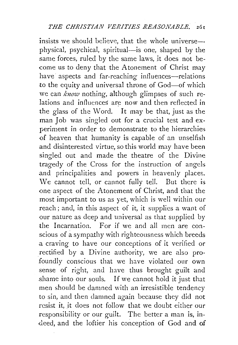insists we should believe, that the whole universe physical, psychical, spiritual--is one, shaped by the same forces, ruled by the same laws, it does not become us to deny that the Atonement of Christ may have aspects and far-reaching influences—relations to the equity and universal throne of God-of which we can *know* nothing, although glimpses of such relations and influences are now and then reflected in the glass of the Word. It may be that, just as the man Job was singled out for a crucial test and experiment in order to demonstrate to the hierarchies of heaven that humanity is capable of an unselfish and disinterested virtue, so this world may have been singled out and made the theatre of the Divine tragedy of the Cross for the instruction of angels and principalities and powers in heavenly places. We cannot tell, or cannot fully tell. But there is one aspect of the Atonement of Christ, and that the most important to us as yet, which is well within our reach; and, in this aspect of it, it supplies a want of our nature as deep and universal as that supplied by the Incarnation. For if we and all men are conscious of a sympathy with righteousness which breeds .a craving to have our conceptions of it verified or rectified by a Divine authority, we are also profoundly conscious that we have violated our own sense of right, and have thus brought guilt and shame into our souls. If we cannot hold it just that men should be damned with an irresistible tendency to sin, and then damned again because they did not resist it, it does not follow that we doubt either our responsibility or our guilt. The better a man is, in deed, and the loftier his conception of God and of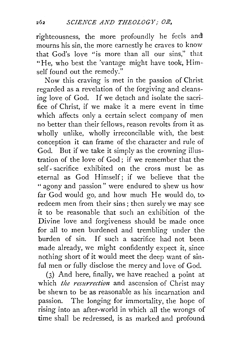righteousness, the more profoundly he feels andl mourns his sin, the more earnestly he craves to know that God's love "is more than all our sins," that "He, who best the 'vantage might have took, Himself found out the remedy."

Now this craving is met in the passion of Christ regarded as a revelation of the forgiving and cleansing love of God. If we detach and isolate the sacrifice of Christ, if we make it a mere event in time· which affects only a certain select company of men no better than their fellows, reason revolts from it as. wholly unlike, wholly irreconcilable with, the best conception it can frame of the character and rule of God. But if we take it simply as the crowning illustration of the love of God; if we remember that the self-sacrifice exhibited on the cross must be as. eternal as God Himself; if we believe that the " agony and passion" were endured to shew us how far God would go, and how much He would do, to redeem men from their sins; then surely we may see it to be reasonable that such an exhibition of the Divine love and forgiveness should be made once for all to men burdened and trembling under the burden of sin. If such a sacrifice had not been . made already, we might confidently expect it, since· nothing short of it would meet the deep want of sinful men or fully disclose the mercy and love of God.

(3) And here, finally, we have reached a point at which *the resurrection* and ascension of Christ may be shewn to be as reasonable as his incarnation and passion. The longing for immortality, the hope of rising into an after-world in which all the wrongs of time shall be redressed, is as marked and profound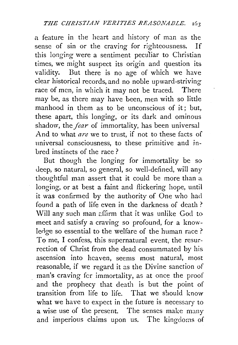a feature in the heart and history of man as the sense of sin or the craving for righteousness. If this longing were a sentiment peculiar to Christian times, we might suspect its origin and question its validity. But there is no age of which we have dear historical records, and no noble upward-striving race of men, in which it may not be traced. There may be, as there may have been, men with so little manhood in them as to be unconscious of it; but, these apart, this longing, or its dark and ominous shadow, the *fear* of immortality, has been universal And to what *are* we to trust, if not to these facts of universal consciousness, to these primitive and inbred instincts of the race ?

But though the longing for immortality be so deep, so natural, so general, so well-defined, will any thoughtful man assert that it could be more than a. longing, or at best a faint and flickering hope, until it was confirmed by the authority of One who had found a path of life even in the darkness of death ? Will any such man affirm that it was unlike God to meet and satisfy a craving so profound, for a knowledge so essential to the welfare of the human race ? To me, I confess, this supernatural event, the resurrection of Christ from the dead consummated by his ascension into heaven, seems most natural, most reasonable, if we regard it as the Divine sanction of man's craving fer immortality, as at once the proof and the prophecy that death is but the point of transition from life to life. That we should know what we have to expect in the future is necessary to a wise use of the present. The senses make many and imperious claims upon us. The kingdoms of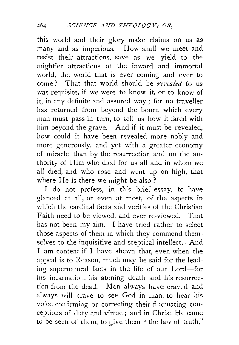this world and their glory make claims on us as many and as imperious. How shall we meet and resist their attractions, save as we yield to the mightier attractions ot the inward and immortal world, the world that is ever coming and ever to come? That that world should be *revealed* to us was requisite, if we were to know it, or to know of it, in any definite and assured way ; for no traveller has returned from beyond the bourn which every man must pass in turn, to tell us how it fared with him beyond the grave. And if it must be revealed, how could it have been revealed more nobly and more generously, and yet with a greater economy of miracle, than by the resurrection and on the authority of Him who died for us all and in whom we all died, and who rose and went up on high, that where He is there we might be also?

I do not profess, in this brief essay, to have glanced at all, or even at most, of the aspects in which the cardinal facts and verities of the Christian Faith need to be viewed, and ever re-viewed. That has not been my aim. I have tried rather to select those aspects of them in which they commend themselves to the inquisitive and sceptical intellect. And I am content if I have shewn that, even when the appeal is to Reason, much may be said for the leading supernatural facts in the life of our Lord—for his incarnation, his atoning death, and his resurrection from ·the dead. Men always have craved and always will crave to see God in man, to hear his voice confirming or correcting their fluctuating conceptions of duty and virtue ; and in Christ He came to be seen of them, to give them "the law of truth,"